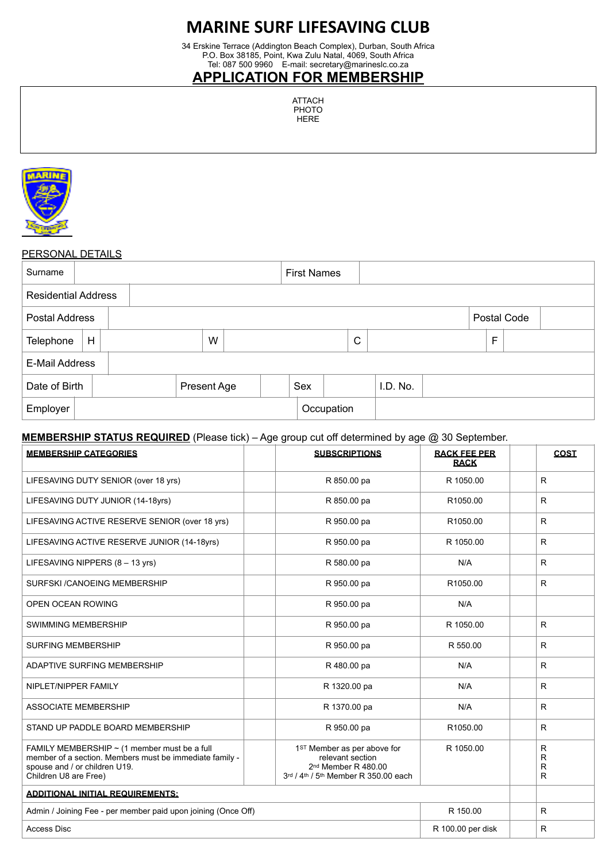# **MARINE SURF LIFESAVING CLUB**

34 Erskine Terrace (Addington Beach Complex), Durban, South Africa P.O. Box 38185, Point, Kwa Zulu Natal, 4069, South Africa Tel: 087 500 9960 E-mail: secretary@marineslc.co.za

### **APPLICATION FOR MEMBERSHIP**

| ATTACH |  |
|--------|--|
| PHOTO  |  |
| HFRF   |  |



#### PERSONAL DETAILS

| Surname                    |   |  |             |   |  | <b>First Names</b> |            |              |          |  |             |             |  |
|----------------------------|---|--|-------------|---|--|--------------------|------------|--------------|----------|--|-------------|-------------|--|
| <b>Residential Address</b> |   |  |             |   |  |                    |            |              |          |  |             |             |  |
| Postal Address             |   |  |             |   |  |                    |            |              |          |  |             | Postal Code |  |
| Telephone                  | H |  |             | W |  |                    |            | $\mathsf{C}$ |          |  | $\mathsf F$ |             |  |
| E-Mail Address             |   |  |             |   |  |                    |            |              |          |  |             |             |  |
| Date of Birth              |   |  | Present Age |   |  | Sex                |            |              | I.D. No. |  |             |             |  |
| Employer                   |   |  |             |   |  |                    | Occupation |              |          |  |             |             |  |

#### **MEMBERSHIP STATUS REQUIRED** (Please tick) – Age group cut off determined by age @ 30 September.

| <b>MEMBERSHIP CATEGORIES</b>                                                                                                                                           | <b>SUBSCRIPTIONS</b>                                                                                                       | <b>RACK FEE PER</b><br><b>RACK</b> | <b>COST</b>      |
|------------------------------------------------------------------------------------------------------------------------------------------------------------------------|----------------------------------------------------------------------------------------------------------------------------|------------------------------------|------------------|
| LIFESAVING DUTY SENIOR (over 18 yrs)                                                                                                                                   | R 850.00 pa                                                                                                                | R 1050.00                          | $\mathsf{R}$     |
| LIFESAVING DUTY JUNIOR (14-18yrs)                                                                                                                                      | R 850.00 pa                                                                                                                | R1050.00                           | $\mathsf{R}$     |
| LIFESAVING ACTIVE RESERVE SENIOR (over 18 yrs)                                                                                                                         | R 950.00 pa                                                                                                                | R1050.00                           | $\mathsf{R}$     |
| LIFESAVING ACTIVE RESERVE JUNIOR (14-18yrs)                                                                                                                            | R 950.00 pa                                                                                                                | R 1050.00                          | R                |
| LIFESAVING NIPPERS $(8 - 13 \text{ yrs})$                                                                                                                              | R 580.00 pa                                                                                                                | N/A                                | R                |
| SURFSKI / CANOEING MEMBERSHIP                                                                                                                                          | R 950.00 pa                                                                                                                | R1050.00                           | R                |
| <b>OPEN OCEAN ROWING</b>                                                                                                                                               | R 950.00 pa                                                                                                                | N/A                                |                  |
| <b>SWIMMING MEMBERSHIP</b>                                                                                                                                             | R 950.00 pa                                                                                                                | R 1050.00                          | R                |
| <b>SURFING MEMBERSHIP</b>                                                                                                                                              | R 950.00 pa                                                                                                                | R 550.00                           | $\mathsf{R}$     |
| ADAPTIVE SURFING MEMBERSHIP                                                                                                                                            | R 480.00 pa                                                                                                                | N/A                                | $\mathsf{R}$     |
| NIPLET/NIPPER FAMILY                                                                                                                                                   | R 1320.00 pa                                                                                                               | N/A                                | $\mathsf{R}$     |
| <b>ASSOCIATE MEMBERSHIP</b>                                                                                                                                            | R 1370.00 pa                                                                                                               | N/A                                | R                |
| STAND UP PADDLE BOARD MEMBERSHIP                                                                                                                                       | R 950.00 pa                                                                                                                | R1050.00                           | R                |
| FAMILY MEMBERSHIP $\sim$ (1 member must be a full<br>member of a section. Members must be immediate family -<br>spouse and / or children U19.<br>Children U8 are Free) | 1ST Member as per above for<br>relevant section<br>2 <sup>nd</sup> Member R 480.00<br>3rd / 4th / 5th Member R 350.00 each | R 1050.00                          | R<br>R<br>R<br>R |
| <b>ADDITIONAL INITIAL REQUIREMENTS:</b>                                                                                                                                |                                                                                                                            |                                    |                  |
| Admin / Joining Fee - per member paid upon joining (Once Off)                                                                                                          |                                                                                                                            | R 150.00                           | R                |
| <b>Access Disc</b>                                                                                                                                                     |                                                                                                                            | R 100.00 per disk                  | $\mathsf{R}$     |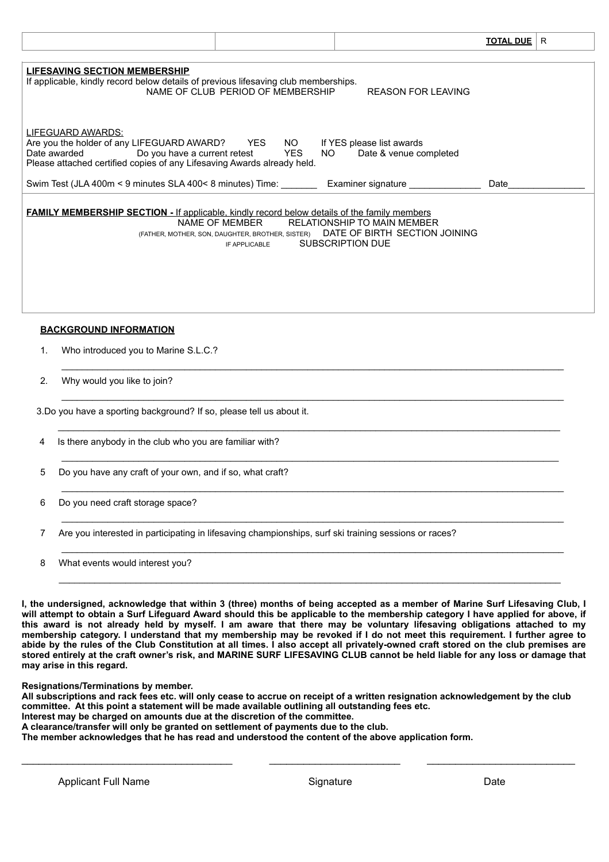|                                                                                                                                                                   |                                                                                     |                                                                                         | <b>TOTAL DUE</b> | R |
|-------------------------------------------------------------------------------------------------------------------------------------------------------------------|-------------------------------------------------------------------------------------|-----------------------------------------------------------------------------------------|------------------|---|
|                                                                                                                                                                   |                                                                                     |                                                                                         |                  |   |
| <b>LIFESAVING SECTION MEMBERSHIP</b><br>If applicable, kindly record below details of previous lifesaving club memberships.                                       | NAME OF CLUB PERIOD OF MEMBERSHIP                                                   | <b>REASON FOR LEAVING</b>                                                               |                  |   |
| LIFEGUARD AWARDS:<br>Are you the holder of any LIFEGUARD AWARD? YES NO<br>Date awarded<br>Please attached certified copies of any Lifesaving Awards already held. | Do you have a current retest YES                                                    | If YES please list awards<br>Date & venue completed<br>NO DI                            |                  |   |
| Swim Test (JLA 400m < 9 minutes SLA 400< 8 minutes) Time: Examiner signature                                                                                      |                                                                                     |                                                                                         | Date             |   |
| <b>FAMILY MEMBERSHIP SECTION - If applicable, kindly record below details of the family members</b>                                                               | NAME OF MEMBER<br>(FATHER, MOTHER, SON, DAUGHTER, BROTHER, SISTER)<br>IF APPLICABLE | <b>RELATIONSHIP TO MAIN MEMBER</b><br>DATE OF BIRTH SECTION JOINING<br>SUBSCRIPTION DUE |                  |   |

 $\_$  , and the state of the state of the state of the state of the state of the state of the state of the state of the state of the state of the state of the state of the state of the state of the state of the state of the

 $\_$  , and the set of the set of the set of the set of the set of the set of the set of the set of the set of the set of the set of the set of the set of the set of the set of the set of the set of the set of the set of th

\_\_\_\_\_\_\_\_\_\_\_\_\_\_\_\_\_\_\_\_\_\_\_\_\_\_\_\_\_\_\_\_\_\_\_\_\_\_\_\_\_\_\_\_\_\_\_\_\_\_\_\_\_\_\_\_\_\_\_\_\_\_\_\_\_\_\_\_\_\_\_\_\_\_\_\_\_\_\_\_\_\_\_\_\_\_\_\_\_\_\_\_\_\_\_\_\_\_

 $\_$  , and the state of the state of the state of the state of the state of the state of the state of the state of the state of the state of the state of the state of the state of the state of the state of the state of the

 $\_$  , and the state of the state of the state of the state of the state of the state of the state of the state of the state of the state of the state of the state of the state of the state of the state of the state of the

 $\_$  , and the state of the state of the state of the state of the state of the state of the state of the state of the state of the state of the state of the state of the state of the state of the state of the state of the

 $\_$  , and the state of the state of the state of the state of the state of the state of the state of the state of the state of the state of the state of the state of the state of the state of the state of the state of the

#### **BACKGROUND INFORMATION**

1. Who introduced you to Marine S.L.C.?

#### 2. Why would you like to join?

3.Do you have a sporting background? If so, please tell us about it.

- 4 Is there anybody in the club who you are familiar with?
- 5 Do you have any craft of your own, and if so, what craft?
- 6 Do you need craft storage space?

7 Are you interested in participating in lifesaving championships, surf ski training sessions or races?

8 What events would interest you?

**I, the undersigned, acknowledge that within 3 (three) months of being accepted as a member of Marine Surf Lifesaving Club, I will attempt to obtain a Surf Lifeguard Award should this be applicable to the membership category I have applied for above, if this award is not already held by myself. I am aware that there may be voluntary lifesaving obligations attached to my membership category. I understand that my membership may be revoked if I do not meet this requirement. I further agree to abide by the rules of the Club Constitution at all times. I also accept all privately-owned craft stored on the club premises are stored entirely at the craft owner's risk, and MARINE SURF LIFESAVING CLUB cannot be held liable for any loss or damage that may arise in this regard.**

 $\mathcal{L}_\text{max}$  and the contribution of the contribution of the contribution of the contribution of the contribution of the contribution of the contribution of the contribution of the contribution of the contribution of the

**Resignations/Terminations by member.**

**All subscriptions and rack fees etc. will only cease to accrue on receipt of a written resignation acknowledgement by the club committee. At this point a statement will be made available outlining all outstanding fees etc. Interest may be charged on amounts due at the discretion of the committee.**

\_\_\_\_\_\_\_\_\_\_\_\_\_\_\_\_\_\_\_\_\_\_\_\_\_\_\_\_\_\_\_\_\_\_\_\_\_ \_\_\_\_\_\_\_\_\_\_\_\_\_\_\_\_\_\_\_\_\_\_\_ \_\_\_\_\_\_\_\_\_\_\_\_\_\_\_\_\_\_\_\_\_\_\_\_\_\_

**A clearance/transfer will only be granted on settlement of payments due to the club.**

**The member acknowledges that he has read and understood the content of the above application form.**